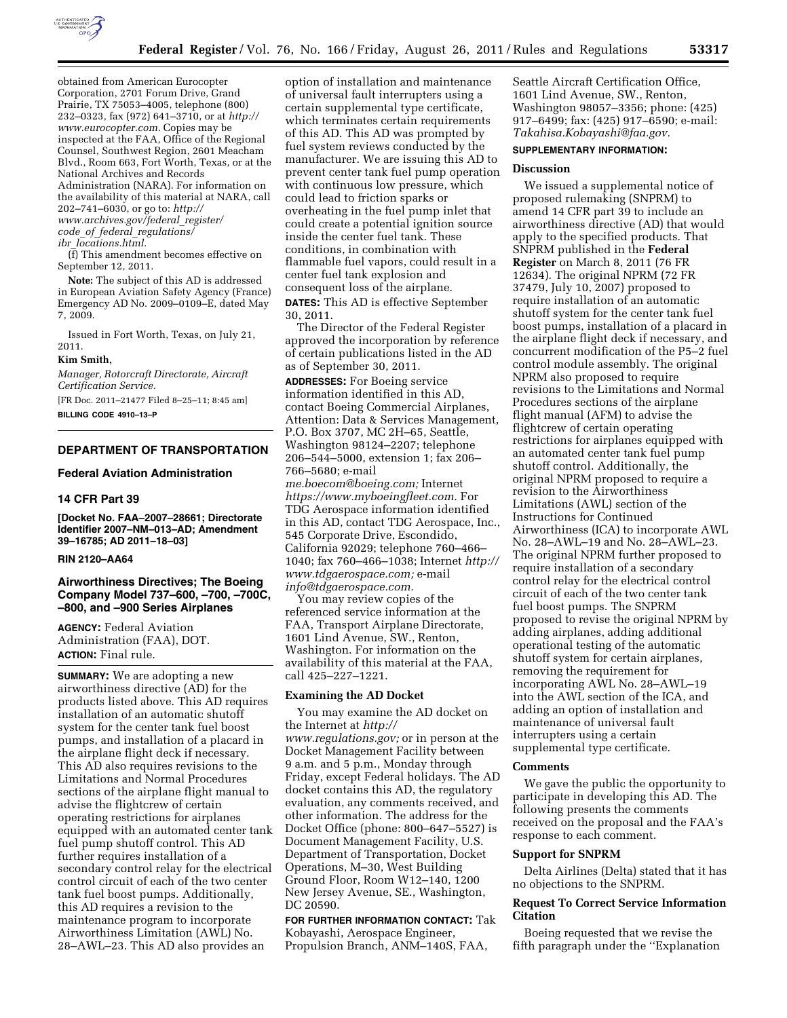

obtained from American Eurocopter Corporation, 2701 Forum Drive, Grand Prairie, TX 75053–4005, telephone (800) 232–0323, fax (972) 641–3710, or at *[http://](http://www.eurocopter.com) [www.eurocopter.com.](http://www.eurocopter.com)* Copies may be inspected at the FAA, Office of the Regional Counsel, Southwest Region, 2601 Meacham Blvd., Room 663, Fort Worth, Texas, or at the National Archives and Records Administration (NARA). For information on the availability of this material at NARA, call 202–741–6030, or go to: *[http://](http://www.archives.gov/federal_register/code_of_federal_regulations/ibr_locations.html) [www.archives.gov/federal](http://www.archives.gov/federal_register/code_of_federal_regulations/ibr_locations.html)*\_*register/ code*\_*of*\_*federal*\_*[regulations/](http://www.archives.gov/federal_register/code_of_federal_regulations/ibr_locations.html) ibr*\_*[locations.html.](http://www.archives.gov/federal_register/code_of_federal_regulations/ibr_locations.html)* 

(f) This amendment becomes effective on September 12, 2011.

**Note:** The subject of this AD is addressed in European Aviation Safety Agency (France) Emergency AD No. 2009–0109–E, dated May 7, 2009.

Issued in Fort Worth, Texas, on July 21, 2011.

## **Kim Smith,**

*Manager, Rotorcraft Directorate, Aircraft Certification Service.* 

[FR Doc. 2011–21477 Filed 8–25–11; 8:45 am] **BILLING CODE 4910–13–P** 

## **DEPARTMENT OF TRANSPORTATION**

## **Federal Aviation Administration**

### **14 CFR Part 39**

**[Docket No. FAA–2007–28661; Directorate Identifier 2007–NM–013–AD; Amendment 39–16785; AD 2011–18–03]** 

# **RIN 2120–AA64**

# **Airworthiness Directives; The Boeing Company Model 737–600, –700, –700C, –800, and –900 Series Airplanes**

**AGENCY:** Federal Aviation Administration (FAA), DOT. **ACTION:** Final rule.

**SUMMARY:** We are adopting a new airworthiness directive (AD) for the products listed above. This AD requires installation of an automatic shutoff system for the center tank fuel boost pumps, and installation of a placard in the airplane flight deck if necessary. This AD also requires revisions to the Limitations and Normal Procedures sections of the airplane flight manual to advise the flightcrew of certain operating restrictions for airplanes equipped with an automated center tank fuel pump shutoff control. This AD further requires installation of a secondary control relay for the electrical control circuit of each of the two center tank fuel boost pumps. Additionally, this AD requires a revision to the maintenance program to incorporate Airworthiness Limitation (AWL) No. 28–AWL–23. This AD also provides an

option of installation and maintenance of universal fault interrupters using a certain supplemental type certificate, which terminates certain requirements of this AD. This AD was prompted by fuel system reviews conducted by the manufacturer. We are issuing this AD to prevent center tank fuel pump operation with continuous low pressure, which could lead to friction sparks or overheating in the fuel pump inlet that could create a potential ignition source inside the center fuel tank. These conditions, in combination with flammable fuel vapors, could result in a center fuel tank explosion and consequent loss of the airplane. **DATES:** This AD is effective September 30, 2011.

The Director of the Federal Register approved the incorporation by reference of certain publications listed in the AD as of September 30, 2011.

**ADDRESSES:** For Boeing service information identified in this AD, contact Boeing Commercial Airplanes, Attention: Data & Services Management, P.O. Box 3707, MC 2H–65, Seattle, Washington 98124–2207; telephone 206–544–5000, extension 1; fax 206– 766–5680; e-mail

*[me.boecom@boeing.com;](mailto:me.boecom@boeing.com)* Internet *[https://www.myboeingfleet.com.](https://www.myboeingfleet.com)* For TDG Aerospace information identified in this AD, contact TDG Aerospace, Inc., 545 Corporate Drive, Escondido, California 92029; telephone 760–466– 1040; fax 760–466–1038; Internet *[http://](http://www.tdgaerospace.com) [www.tdgaerospace.com;](http://www.tdgaerospace.com)* e-mail *[info@tdgaerospace.com.](mailto:info@tdgaerospace.com)* 

You may review copies of the referenced service information at the FAA, Transport Airplane Directorate, 1601 Lind Avenue, SW., Renton, Washington. For information on the availability of this material at the FAA, call 425–227–1221.

### **Examining the AD Docket**

You may examine the AD docket on the Internet at *[http://](http://www.regulations.gov)  [www.regulations.gov;](http://www.regulations.gov)* or in person at the Docket Management Facility between 9 a.m. and 5 p.m., Monday through Friday, except Federal holidays. The AD docket contains this AD, the regulatory evaluation, any comments received, and other information. The address for the Docket Office (phone: 800–647–5527) is Document Management Facility, U.S. Department of Transportation, Docket Operations, M–30, West Building Ground Floor, Room W12–140, 1200 New Jersey Avenue, SE., Washington, DC 20590.

**FOR FURTHER INFORMATION CONTACT:** Tak Kobayashi, Aerospace Engineer, Propulsion Branch, ANM–140S, FAA,

Seattle Aircraft Certification Office, 1601 Lind Avenue, SW., Renton, Washington 98057–3356; phone: (425) 917–6499; fax: (425) 917–6590; e-mail: *[Takahisa.Kobayashi@faa.gov.](mailto:Takahisa.Kobayashi@faa.gov)* 

### **SUPPLEMENTARY INFORMATION:**

## **Discussion**

We issued a supplemental notice of proposed rulemaking (SNPRM) to amend 14 CFR part 39 to include an airworthiness directive (AD) that would apply to the specified products. That SNPRM published in the **Federal Register** on March 8, 2011 (76 FR 12634). The original NPRM (72 FR 37479, July 10, 2007) proposed to require installation of an automatic shutoff system for the center tank fuel boost pumps, installation of a placard in the airplane flight deck if necessary, and concurrent modification of the P5–2 fuel control module assembly. The original NPRM also proposed to require revisions to the Limitations and Normal Procedures sections of the airplane flight manual (AFM) to advise the flightcrew of certain operating restrictions for airplanes equipped with an automated center tank fuel pump shutoff control. Additionally, the original NPRM proposed to require a revision to the Airworthiness Limitations (AWL) section of the Instructions for Continued Airworthiness (ICA) to incorporate AWL No. 28–AWL–19 and No. 28–AWL–23. The original NPRM further proposed to require installation of a secondary control relay for the electrical control circuit of each of the two center tank fuel boost pumps. The SNPRM proposed to revise the original NPRM by adding airplanes, adding additional operational testing of the automatic shutoff system for certain airplanes, removing the requirement for incorporating AWL No. 28–AWL–19 into the AWL section of the ICA, and adding an option of installation and maintenance of universal fault interrupters using a certain supplemental type certificate.

### **Comments**

We gave the public the opportunity to participate in developing this AD. The following presents the comments received on the proposal and the FAA's response to each comment.

### **Support for SNPRM**

Delta Airlines (Delta) stated that it has no objections to the SNPRM.

# **Request To Correct Service Information Citation**

Boeing requested that we revise the fifth paragraph under the ''Explanation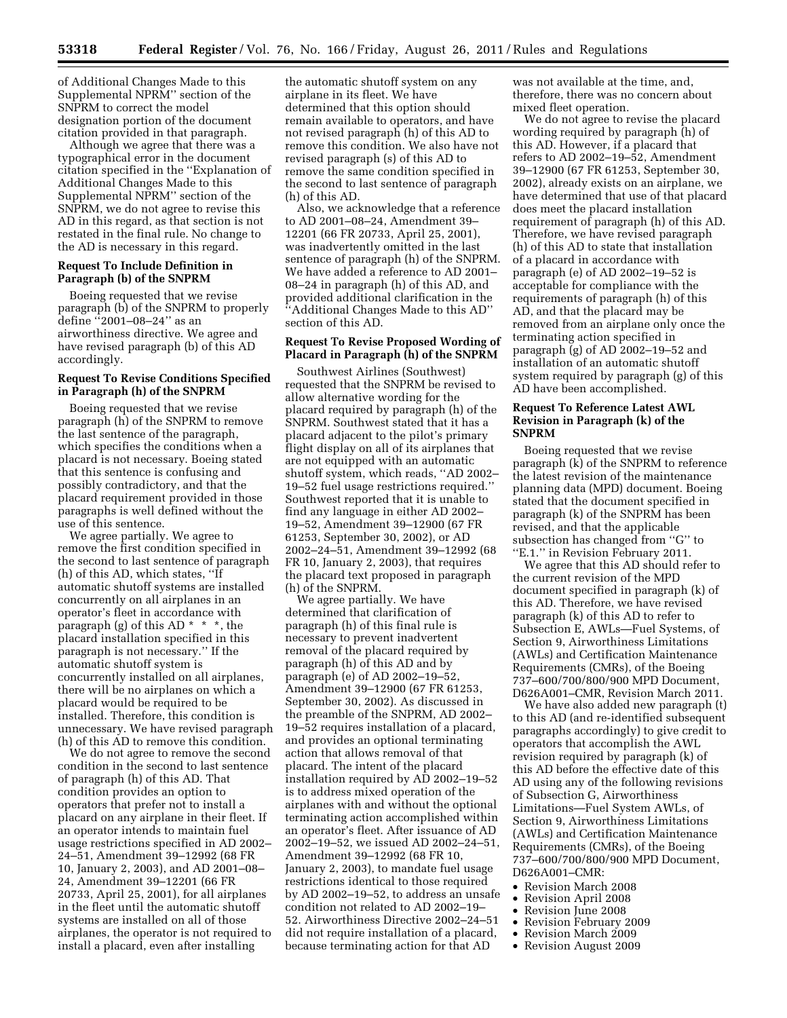of Additional Changes Made to this Supplemental NPRM'' section of the SNPRM to correct the model designation portion of the document citation provided in that paragraph.

Although we agree that there was a typographical error in the document citation specified in the ''Explanation of Additional Changes Made to this Supplemental NPRM'' section of the SNPRM, we do not agree to revise this AD in this regard, as that section is not restated in the final rule. No change to the AD is necessary in this regard.

## **Request To Include Definition in Paragraph (b) of the SNPRM**

Boeing requested that we revise paragraph (b) of the SNPRM to properly define ''2001–08–24'' as an airworthiness directive. We agree and have revised paragraph (b) of this AD accordingly.

## **Request To Revise Conditions Specified in Paragraph (h) of the SNPRM**

Boeing requested that we revise paragraph (h) of the SNPRM to remove the last sentence of the paragraph, which specifies the conditions when a placard is not necessary. Boeing stated that this sentence is confusing and possibly contradictory, and that the placard requirement provided in those paragraphs is well defined without the use of this sentence.

We agree partially. We agree to remove the first condition specified in the second to last sentence of paragraph (h) of this AD, which states, ''If automatic shutoff systems are installed concurrently on all airplanes in an operator's fleet in accordance with paragraph (g) of this AD  $* * *$ , the placard installation specified in this paragraph is not necessary.'' If the automatic shutoff system is concurrently installed on all airplanes, there will be no airplanes on which a placard would be required to be installed. Therefore, this condition is unnecessary. We have revised paragraph (h) of this AD to remove this condition.

We do not agree to remove the second condition in the second to last sentence of paragraph (h) of this AD. That condition provides an option to operators that prefer not to install a placard on any airplane in their fleet. If an operator intends to maintain fuel usage restrictions specified in AD 2002– 24–51, Amendment 39–12992 (68 FR 10, January 2, 2003), and AD 2001–08– 24, Amendment 39–12201 (66 FR 20733, April 25, 2001), for all airplanes in the fleet until the automatic shutoff systems are installed on all of those airplanes, the operator is not required to install a placard, even after installing

the automatic shutoff system on any airplane in its fleet. We have determined that this option should remain available to operators, and have not revised paragraph (h) of this AD to remove this condition. We also have not revised paragraph (s) of this AD to remove the same condition specified in the second to last sentence of paragraph (h) of this AD.

Also, we acknowledge that a reference to AD 2001–08–24, Amendment 39– 12201 (66 FR 20733, April 25, 2001), was inadvertently omitted in the last sentence of paragraph (h) of the SNPRM. We have added a reference to AD 2001– 08–24 in paragraph (h) of this AD, and provided additional clarification in the ''Additional Changes Made to this AD'' section of this AD.

## **Request To Revise Proposed Wording of Placard in Paragraph (h) of the SNPRM**

Southwest Airlines (Southwest) requested that the SNPRM be revised to allow alternative wording for the placard required by paragraph (h) of the SNPRM. Southwest stated that it has a placard adjacent to the pilot's primary flight display on all of its airplanes that are not equipped with an automatic shutoff system, which reads, ''AD 2002– 19–52 fuel usage restrictions required.'' Southwest reported that it is unable to find any language in either AD 2002– 19–52, Amendment 39–12900 (67 FR 61253, September 30, 2002), or AD 2002–24–51, Amendment 39–12992 (68 FR 10, January 2, 2003), that requires the placard text proposed in paragraph (h) of the SNPRM.

We agree partially. We have determined that clarification of paragraph (h) of this final rule is necessary to prevent inadvertent removal of the placard required by paragraph (h) of this AD and by paragraph (e) of AD 2002–19–52, Amendment 39–12900 (67 FR 61253, September 30, 2002). As discussed in the preamble of the SNPRM, AD 2002– 19–52 requires installation of a placard, and provides an optional terminating action that allows removal of that placard. The intent of the placard installation required by AD 2002–19–52 is to address mixed operation of the airplanes with and without the optional terminating action accomplished within an operator's fleet. After issuance of AD 2002–19–52, we issued AD 2002–24–51, Amendment 39–12992 (68 FR 10, January 2, 2003), to mandate fuel usage restrictions identical to those required by AD 2002–19–52, to address an unsafe condition not related to AD 2002–19– 52. Airworthiness Directive 2002–24–51 did not require installation of a placard, because terminating action for that AD

was not available at the time, and, therefore, there was no concern about mixed fleet operation.

We do not agree to revise the placard wording required by paragraph (h) of this AD. However, if a placard that refers to AD 2002–19–52, Amendment 39–12900 (67 FR 61253, September 30, 2002), already exists on an airplane, we have determined that use of that placard does meet the placard installation requirement of paragraph (h) of this AD. Therefore, we have revised paragraph (h) of this AD to state that installation of a placard in accordance with paragraph (e) of AD 2002–19–52 is acceptable for compliance with the requirements of paragraph (h) of this AD, and that the placard may be removed from an airplane only once the terminating action specified in paragraph (g) of AD 2002–19–52 and installation of an automatic shutoff system required by paragraph (g) of this AD have been accomplished.

## **Request To Reference Latest AWL Revision in Paragraph (k) of the SNPRM**

Boeing requested that we revise paragraph (k) of the SNPRM to reference the latest revision of the maintenance planning data (MPD) document. Boeing stated that the document specified in paragraph (k) of the SNPRM has been revised, and that the applicable subsection has changed from ''G'' to ''E.1.'' in Revision February 2011.

We agree that this AD should refer to the current revision of the MPD document specified in paragraph (k) of this AD. Therefore, we have revised paragraph (k) of this AD to refer to Subsection E, AWLs—Fuel Systems, of Section 9, Airworthiness Limitations (AWLs) and Certification Maintenance Requirements (CMRs), of the Boeing 737–600/700/800/900 MPD Document, D626A001–CMR, Revision March 2011.

We have also added new paragraph (t) to this AD (and re-identified subsequent paragraphs accordingly) to give credit to operators that accomplish the AWL revision required by paragraph (k) of this AD before the effective date of this AD using any of the following revisions of Subsection G, Airworthiness Limitations—Fuel System AWLs, of Section 9, Airworthiness Limitations (AWLs) and Certification Maintenance Requirements (CMRs), of the Boeing 737–600/700/800/900 MPD Document, D626A001–CMR:

- Revision March 2008
- Revision April 2008
- Revision June 2008
- Revision February 2009
- Revision March 2009
- Revision August 2009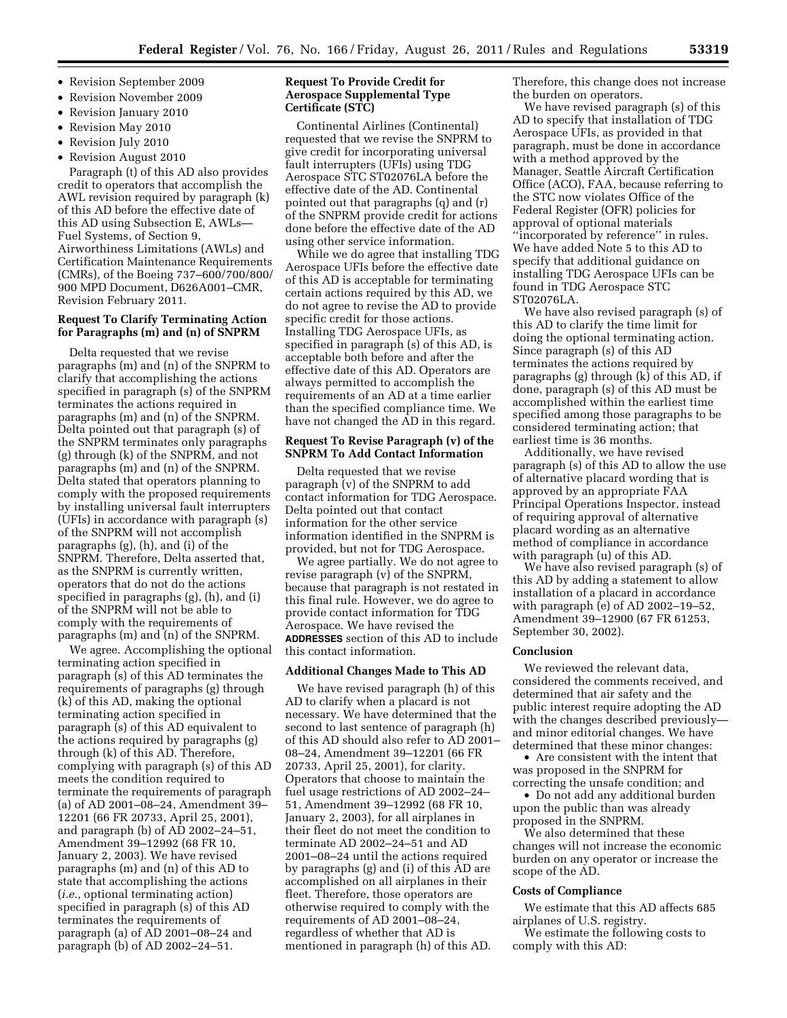- Revision September 2009
- Revision November 2009
- Revision January 2010
- Revision May 2010
- Revision July 2010
- Revision August 2010

Paragraph (t) of this AD also provides credit to operators that accomplish the AWL revision required by paragraph (k) of this AD before the effective date of this AD using Subsection E, AWLs— Fuel Systems, of Section 9, Airworthiness Limitations (AWLs) and Certification Maintenance Requirements (CMRs), of the Boeing 737–600/700/800/ 900 MPD Document, D626A001–CMR, Revision February 2011.

# **Request To Clarify Terminating Action for Paragraphs (m) and (n) of SNPRM**

Delta requested that we revise paragraphs (m) and (n) of the SNPRM to clarify that accomplishing the actions specified in paragraph (s) of the SNPRM terminates the actions required in paragraphs (m) and (n) of the SNPRM. Delta pointed out that paragraph (s) of the SNPRM terminates only paragraphs (g) through (k) of the SNPRM, and not paragraphs (m) and (n) of the SNPRM. Delta stated that operators planning to comply with the proposed requirements by installing universal fault interrupters (UFIs) in accordance with paragraph (s) of the SNPRM will not accomplish paragraphs (g), (h), and (i) of the SNPRM. Therefore, Delta asserted that, as the SNPRM is currently written, operators that do not do the actions specified in paragraphs (g), (h), and (i) of the SNPRM will not be able to comply with the requirements of paragraphs (m) and (n) of the SNPRM.

We agree. Accomplishing the optional terminating action specified in paragraph (s) of this AD terminates the requirements of paragraphs (g) through (k) of this AD, making the optional terminating action specified in paragraph (s) of this AD equivalent to the actions required by paragraphs (g) through (k) of this AD. Therefore, complying with paragraph (s) of this AD meets the condition required to terminate the requirements of paragraph (a) of AD 2001–08–24, Amendment 39– 12201 (66 FR 20733, April 25, 2001), and paragraph (b) of AD 2002–24–51, Amendment 39–12992 (68 FR 10, January 2, 2003). We have revised paragraphs (m) and (n) of this AD to state that accomplishing the actions (*i.e.,* optional terminating action) specified in paragraph (s) of this AD terminates the requirements of paragraph (a) of AD 2001–08–24 and paragraph (b) of AD 2002–24–51.

# **Request To Provide Credit for Aerospace Supplemental Type Certificate (STC)**

Continental Airlines (Continental) requested that we revise the SNPRM to give credit for incorporating universal fault interrupters (UFIs) using TDG Aerospace STC ST02076LA before the effective date of the AD. Continental pointed out that paragraphs (q) and (r) of the SNPRM provide credit for actions done before the effective date of the AD using other service information.

While we do agree that installing TDG Aerospace UFIs before the effective date of this AD is acceptable for terminating certain actions required by this AD, we do not agree to revise the AD to provide specific credit for those actions. Installing TDG Aerospace UFIs, as specified in paragraph (s) of this AD, is acceptable both before and after the effective date of this AD. Operators are always permitted to accomplish the requirements of an AD at a time earlier than the specified compliance time. We have not changed the AD in this regard.

## **Request To Revise Paragraph (v) of the SNPRM To Add Contact Information**

Delta requested that we revise paragraph (v) of the SNPRM to add contact information for TDG Aerospace. Delta pointed out that contact information for the other service information identified in the SNPRM is provided, but not for TDG Aerospace.

We agree partially. We do not agree to revise paragraph (v) of the SNPRM, because that paragraph is not restated in this final rule. However, we do agree to provide contact information for TDG Aerospace. We have revised the **ADDRESSES** section of this AD to include this contact information.

# **Additional Changes Made to This AD**

We have revised paragraph (h) of this AD to clarify when a placard is not necessary. We have determined that the second to last sentence of paragraph (h) of this AD should also refer to AD 2001– 08–24, Amendment 39–12201 (66 FR 20733, April 25, 2001), for clarity. Operators that choose to maintain the fuel usage restrictions of AD 2002–24– 51, Amendment 39–12992 (68 FR 10, January 2, 2003), for all airplanes in their fleet do not meet the condition to terminate AD 2002–24–51 and AD 2001–08–24 until the actions required by paragraphs (g) and (i) of this AD are accomplished on all airplanes in their fleet. Therefore, those operators are otherwise required to comply with the requirements of AD 2001–08–24, regardless of whether that AD is mentioned in paragraph (h) of this AD.

Therefore, this change does not increase the burden on operators.

We have revised paragraph (s) of this AD to specify that installation of TDG Aerospace UFIs, as provided in that paragraph, must be done in accordance with a method approved by the Manager, Seattle Aircraft Certification Office (ACO), FAA, because referring to the STC now violates Office of the Federal Register (OFR) policies for approval of optional materials ''incorporated by reference'' in rules. We have added Note 5 to this AD to specify that additional guidance on installing TDG Aerospace UFIs can be found in TDG Aerospace STC ST02076LA.

We have also revised paragraph (s) of this AD to clarify the time limit for doing the optional terminating action. Since paragraph (s) of this AD terminates the actions required by paragraphs (g) through (k) of this AD, if done, paragraph (s) of this AD must be accomplished within the earliest time specified among those paragraphs to be considered terminating action; that earliest time is 36 months.

Additionally, we have revised paragraph (s) of this AD to allow the use of alternative placard wording that is approved by an appropriate FAA Principal Operations Inspector, instead of requiring approval of alternative placard wording as an alternative method of compliance in accordance with paragraph (u) of this AD.

We have also revised paragraph (s) of this AD by adding a statement to allow installation of a placard in accordance with paragraph (e) of AD 2002–19–52, Amendment 39–12900 (67 FR 61253, September 30, 2002).

# **Conclusion**

We reviewed the relevant data, considered the comments received, and determined that air safety and the public interest require adopting the AD with the changes described previously and minor editorial changes. We have determined that these minor changes:

• Are consistent with the intent that was proposed in the SNPRM for correcting the unsafe condition; and

• Do not add any additional burden upon the public than was already proposed in the SNPRM.

We also determined that these changes will not increase the economic burden on any operator or increase the scope of the AD.

### **Costs of Compliance**

We estimate that this AD affects 685 airplanes of U.S. registry.

We estimate the following costs to comply with this AD: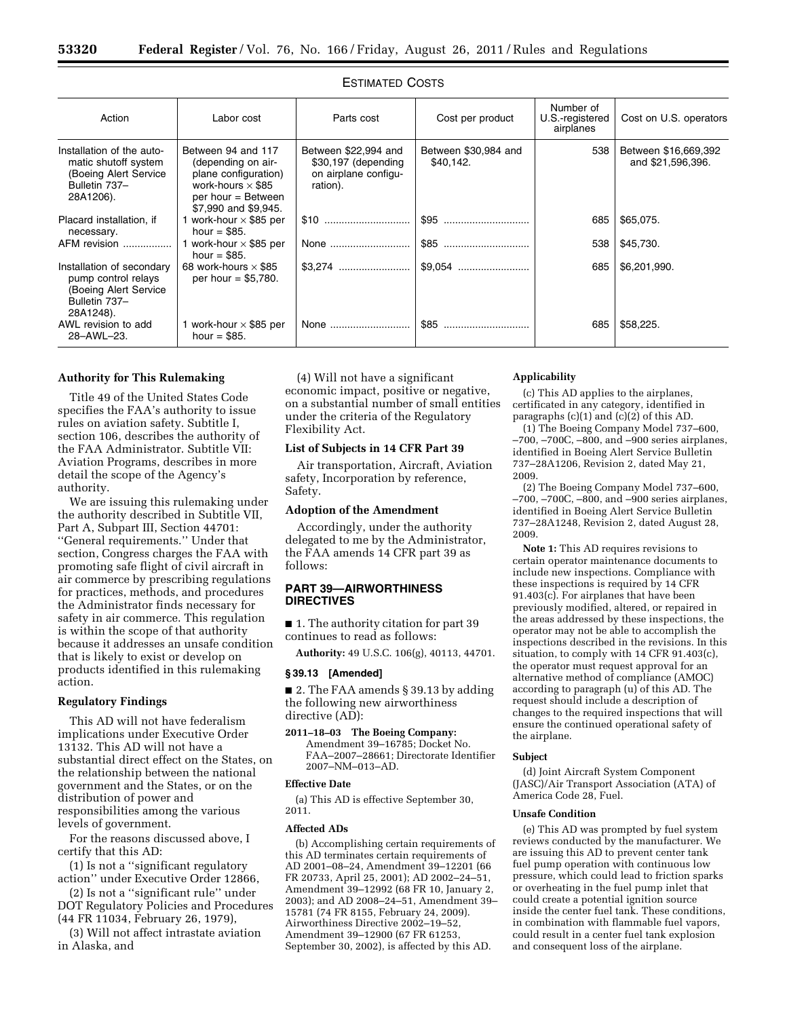| Action                                                                                                   | Labor cost                                                                                                                                 | Parts cost                                                                      | Cost per product                  | Number of<br>U.S.-registered<br>airplanes | Cost on U.S. operators                    |
|----------------------------------------------------------------------------------------------------------|--------------------------------------------------------------------------------------------------------------------------------------------|---------------------------------------------------------------------------------|-----------------------------------|-------------------------------------------|-------------------------------------------|
| Installation of the auto-<br>matic shutoff system<br>(Boeing Alert Service<br>Bulletin 737-<br>28A1206). | Between 94 and 117<br>(depending on air-<br>plane configuration)<br>work-hours $\times$ \$85<br>per hour = Between<br>\$7,990 and \$9,945. | Between \$22,994 and<br>\$30,197 (depending<br>on airplane configu-<br>ration). | Between \$30,984 and<br>\$40.142. | 538                                       | Between \$16,669,392<br>and \$21,596,396. |
| Placard installation, if<br>necessary.                                                                   | work-hour $\times$ \$85 per<br>hour = $$85.$                                                                                               |                                                                                 |                                   | 685                                       | \$65,075.                                 |
| AFM revision                                                                                             | work-hour $\times$ \$85 per<br>hour = $$85.$                                                                                               | None                                                                            |                                   | 538                                       | \$45,730.                                 |
| Installation of secondary<br>pump control relays<br>(Boeing Alert Service<br>Bulletin 737-<br>28A1248).  | 68 work-hours $\times$ \$85<br>per hour = $$5,780$ .                                                                                       |                                                                                 |                                   | 685                                       | \$6,201,990.                              |
| AWL revision to add<br>28-AWL-23.                                                                        | 1 work-hour $\times$ \$85 per<br>hour = $$85.$                                                                                             | None                                                                            | \$85                              | 685                                       | \$58,225.                                 |

## ESTIMATED COSTS

# **Authority for This Rulemaking**

Title 49 of the United States Code specifies the FAA's authority to issue rules on aviation safety. Subtitle I, section 106, describes the authority of the FAA Administrator. Subtitle VII: Aviation Programs, describes in more detail the scope of the Agency's authority.

We are issuing this rulemaking under the authority described in Subtitle VII, Part A, Subpart III, Section 44701: ''General requirements.'' Under that section, Congress charges the FAA with promoting safe flight of civil aircraft in air commerce by prescribing regulations for practices, methods, and procedures the Administrator finds necessary for safety in air commerce. This regulation is within the scope of that authority because it addresses an unsafe condition that is likely to exist or develop on products identified in this rulemaking action.

# **Regulatory Findings**

This AD will not have federalism implications under Executive Order 13132. This AD will not have a substantial direct effect on the States, on the relationship between the national government and the States, or on the distribution of power and responsibilities among the various levels of government.

For the reasons discussed above, I certify that this AD:

(1) Is not a ''significant regulatory action'' under Executive Order 12866,

(2) Is not a ''significant rule'' under DOT Regulatory Policies and Procedures (44 FR 11034, February 26, 1979),

(3) Will not affect intrastate aviation in Alaska, and

(4) Will not have a significant economic impact, positive or negative, on a substantial number of small entities under the criteria of the Regulatory Flexibility Act.

### **List of Subjects in 14 CFR Part 39**

Air transportation, Aircraft, Aviation safety, Incorporation by reference, Safety.

### **Adoption of the Amendment**

Accordingly, under the authority delegated to me by the Administrator, the FAA amends 14 CFR part 39 as follows:

# **PART 39—AIRWORTHINESS DIRECTIVES**

■ 1. The authority citation for part 39 continues to read as follows:

**Authority:** 49 U.S.C. 106(g), 40113, 44701.

### **§ 39.13 [Amended]**

■ 2. The FAA amends § 39.13 by adding the following new airworthiness directive (AD):

**2011–18–03 The Boeing Company:**  Amendment 39–16785; Docket No. FAA–2007–28661; Directorate Identifier 2007–NM–013–AD.

# **Effective Date**

(a) This AD is effective September 30, 2011.

### **Affected ADs**

(b) Accomplishing certain requirements of this AD terminates certain requirements of AD 2001–08–24, Amendment 39–12201 (66 FR 20733, April 25, 2001); AD 2002–24–51, Amendment 39–12992 (68 FR 10, January 2, 2003); and AD 2008–24–51, Amendment 39– 15781 (74 FR 8155, February 24, 2009). Airworthiness Directive 2002–19–52, Amendment 39–12900 (67 FR 61253, September 30, 2002), is affected by this AD.

### **Applicability**

(c) This AD applies to the airplanes, certificated in any category, identified in paragraphs (c)(1) and (c)(2) of this AD.

(1) The Boeing Company Model 737–600, –700, –700C, –800, and –900 series airplanes, identified in Boeing Alert Service Bulletin 737–28A1206, Revision 2, dated May 21, 2009.

(2) The Boeing Company Model 737–600, –700, –700C, –800, and –900 series airplanes, identified in Boeing Alert Service Bulletin 737–28A1248, Revision 2, dated August 28, 2009.

**Note 1:** This AD requires revisions to certain operator maintenance documents to include new inspections. Compliance with these inspections is required by 14 CFR 91.403(c). For airplanes that have been previously modified, altered, or repaired in the areas addressed by these inspections, the operator may not be able to accomplish the inspections described in the revisions. In this situation, to comply with 14 CFR 91.403(c), the operator must request approval for an alternative method of compliance (AMOC) according to paragraph (u) of this AD. The request should include a description of changes to the required inspections that will ensure the continued operational safety of the airplane.

### **Subject**

(d) Joint Aircraft System Component (JASC)/Air Transport Association (ATA) of America Code 28, Fuel.

### **Unsafe Condition**

(e) This AD was prompted by fuel system reviews conducted by the manufacturer. We are issuing this AD to prevent center tank fuel pump operation with continuous low pressure, which could lead to friction sparks or overheating in the fuel pump inlet that could create a potential ignition source inside the center fuel tank. These conditions, in combination with flammable fuel vapors, could result in a center fuel tank explosion and consequent loss of the airplane.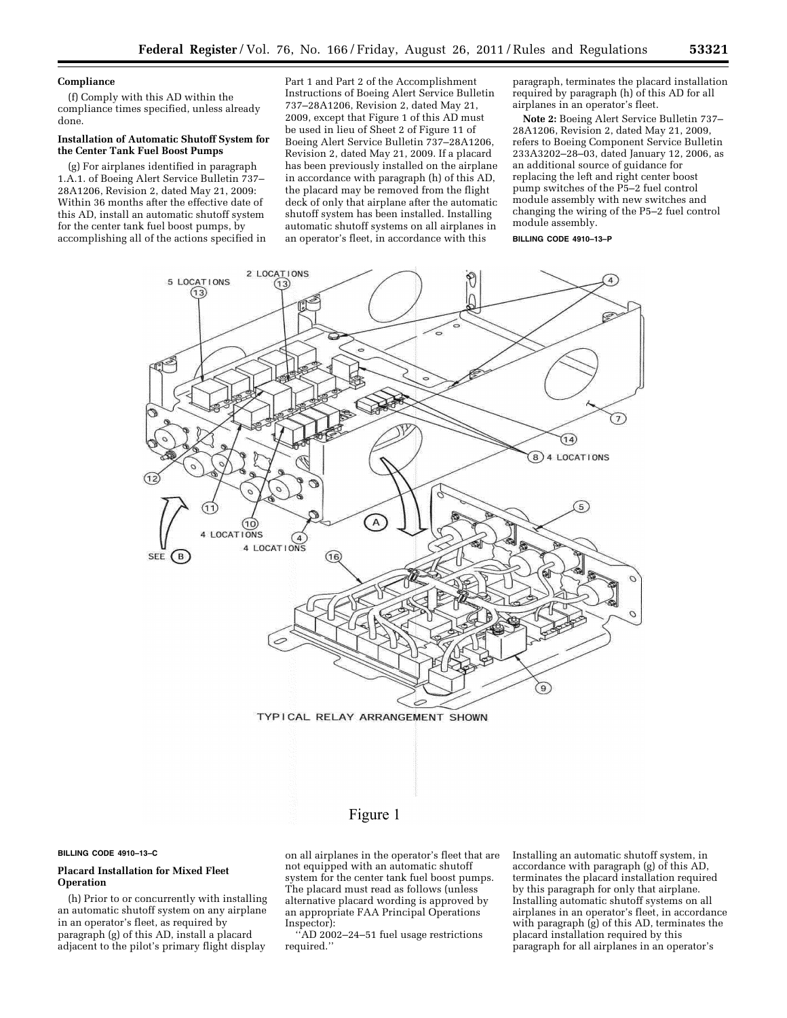### **Compliance**

(f) Comply with this AD within the compliance times specified, unless already done.

# **Installation of Automatic Shutoff System for the Center Tank Fuel Boost Pumps**

(g) For airplanes identified in paragraph 1.A.1. of Boeing Alert Service Bulletin 737– 28A1206, Revision 2, dated May 21, 2009: Within 36 months after the effective date of this AD, install an automatic shutoff system for the center tank fuel boost pumps, by accomplishing all of the actions specified in

Part 1 and Part 2 of the Accomplishment Instructions of Boeing Alert Service Bulletin 737–28A1206, Revision 2, dated May 21, 2009, except that Figure 1 of this AD must be used in lieu of Sheet 2 of Figure 11 of Boeing Alert Service Bulletin 737–28A1206, Revision 2, dated May 21, 2009. If a placard has been previously installed on the airplane in accordance with paragraph (h) of this AD, the placard may be removed from the flight deck of only that airplane after the automatic shutoff system has been installed. Installing automatic shutoff systems on all airplanes in an operator's fleet, in accordance with this

paragraph, terminates the placard installation required by paragraph (h) of this AD for all airplanes in an operator's fleet.

**Note 2:** Boeing Alert Service Bulletin 737– 28A1206, Revision 2, dated May 21, 2009, refers to Boeing Component Service Bulletin 233A3202–28–03, dated January 12, 2006, as an additional source of guidance for replacing the left and right center boost pump switches of the P5–2 fuel control module assembly with new switches and changing the wiring of the P5–2 fuel control module assembly.

**BILLING CODE 4910–13–P** 





# Figure 1

**BILLING CODE 4910–13–C** 

# **Placard Installation for Mixed Fleet Operation**

(h) Prior to or concurrently with installing an automatic shutoff system on any airplane in an operator's fleet, as required by paragraph (g) of this AD, install a placard adjacent to the pilot's primary flight display

on all airplanes in the operator's fleet that are not equipped with an automatic shutoff system for the center tank fuel boost pumps. The placard must read as follows (unless alternative placard wording is approved by an appropriate FAA Principal Operations Inspector):

''AD 2002–24–51 fuel usage restrictions required.''

Installing an automatic shutoff system, in accordance with paragraph (g) of this AD, terminates the placard installation required by this paragraph for only that airplane. Installing automatic shutoff systems on all airplanes in an operator's fleet, in accordance with paragraph (g) of this AD, terminates the placard installation required by this paragraph for all airplanes in an operator's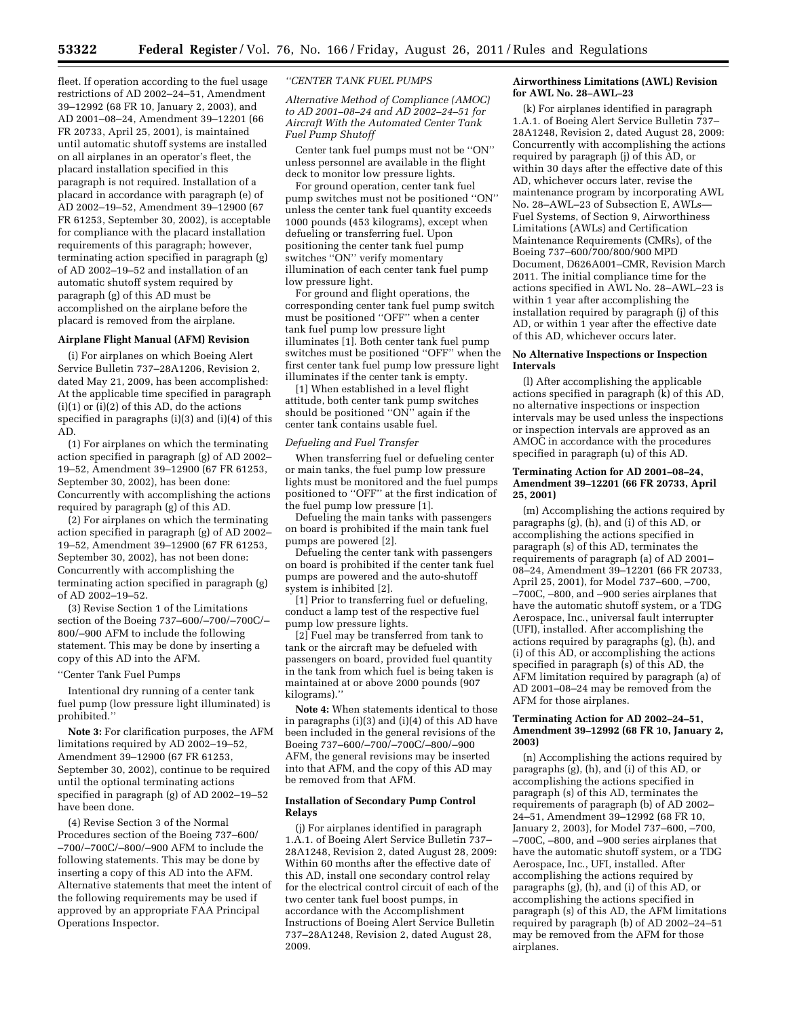fleet. If operation according to the fuel usage restrictions of AD 2002–24–51, Amendment 39–12992 (68 FR 10, January 2, 2003), and AD 2001–08–24, Amendment 39–12201 (66 FR 20733, April 25, 2001), is maintained until automatic shutoff systems are installed on all airplanes in an operator's fleet, the placard installation specified in this paragraph is not required. Installation of a placard in accordance with paragraph (e) of AD 2002–19–52, Amendment 39–12900 (67 FR 61253, September 30, 2002), is acceptable for compliance with the placard installation requirements of this paragraph; however, terminating action specified in paragraph (g) of AD 2002–19–52 and installation of an automatic shutoff system required by paragraph (g) of this AD must be accomplished on the airplane before the placard is removed from the airplane.

# **Airplane Flight Manual (AFM) Revision**

(i) For airplanes on which Boeing Alert Service Bulletin 737–28A1206, Revision 2, dated May 21, 2009, has been accomplished: At the applicable time specified in paragraph  $(i)(1)$  or  $(i)(2)$  of this AD, do the actions specified in paragraphs (i)(3) and (i)(4) of this AD.

(1) For airplanes on which the terminating action specified in paragraph (g) of AD 2002– 19–52, Amendment 39–12900 (67 FR 61253, September 30, 2002), has been done: Concurrently with accomplishing the actions required by paragraph (g) of this AD.

(2) For airplanes on which the terminating action specified in paragraph (g) of AD 2002– 19–52, Amendment 39–12900 (67 FR 61253, September 30, 2002), has not been done: Concurrently with accomplishing the terminating action specified in paragraph (g) of AD 2002–19–52.

(3) Revise Section 1 of the Limitations section of the Boeing 737–600/–700/–700C/– 800/–900 AFM to include the following statement. This may be done by inserting a copy of this AD into the AFM.

### ''Center Tank Fuel Pumps

Intentional dry running of a center tank fuel pump (low pressure light illuminated) is prohibited.''

**Note 3:** For clarification purposes, the AFM limitations required by AD 2002–19–52, Amendment 39–12900 (67 FR 61253, September 30, 2002), continue to be required until the optional terminating actions specified in paragraph (g) of AD 2002–19–52 have been done.

(4) Revise Section 3 of the Normal Procedures section of the Boeing 737–600/ –700/–700C/–800/–900 AFM to include the following statements. This may be done by inserting a copy of this AD into the AFM. Alternative statements that meet the intent of the following requirements may be used if approved by an appropriate FAA Principal Operations Inspector.

### *''CENTER TANK FUEL PUMPS*

*Alternative Method of Compliance (AMOC) to AD 2001–08–24 and AD 2002–24–51 for Aircraft With the Automated Center Tank Fuel Pump Shutoff* 

Center tank fuel pumps must not be ''ON'' unless personnel are available in the flight deck to monitor low pressure lights.

For ground operation, center tank fuel pump switches must not be positioned ''ON'' unless the center tank fuel quantity exceeds 1000 pounds (453 kilograms), except when defueling or transferring fuel. Upon positioning the center tank fuel pump switches ''ON'' verify momentary illumination of each center tank fuel pump low pressure light.

For ground and flight operations, the corresponding center tank fuel pump switch must be positioned ''OFF'' when a center tank fuel pump low pressure light illuminates [1]. Both center tank fuel pump switches must be positioned ''OFF'' when the first center tank fuel pump low pressure light illuminates if the center tank is empty.

[1] When established in a level flight attitude, both center tank pump switches should be positioned ''ON'' again if the center tank contains usable fuel.

### *Defueling and Fuel Transfer*

When transferring fuel or defueling center or main tanks, the fuel pump low pressure lights must be monitored and the fuel pumps positioned to ''OFF'' at the first indication of the fuel pump low pressure [1].

Defueling the main tanks with passengers on board is prohibited if the main tank fuel pumps are powered [2].

Defueling the center tank with passengers on board is prohibited if the center tank fuel pumps are powered and the auto-shutoff system is inhibited [2].

[1] Prior to transferring fuel or defueling, conduct a lamp test of the respective fuel pump low pressure lights.

[2] Fuel may be transferred from tank to tank or the aircraft may be defueled with passengers on board, provided fuel quantity in the tank from which fuel is being taken is maintained at or above 2000 pounds (907 kilograms).''

**Note 4:** When statements identical to those in paragraphs (i)(3) and (i)(4) of this AD have been included in the general revisions of the Boeing 737–600/–700/–700C/–800/–900 AFM, the general revisions may be inserted into that AFM, and the copy of this AD may be removed from that AFM.

### **Installation of Secondary Pump Control Relays**

(j) For airplanes identified in paragraph 1.A.1. of Boeing Alert Service Bulletin 737– 28A1248, Revision 2, dated August 28, 2009: Within 60 months after the effective date of this AD, install one secondary control relay for the electrical control circuit of each of the two center tank fuel boost pumps, in accordance with the Accomplishment Instructions of Boeing Alert Service Bulletin 737–28A1248, Revision 2, dated August 28, 2009.

### **Airworthiness Limitations (AWL) Revision for AWL No. 28–AWL–23**

(k) For airplanes identified in paragraph 1.A.1. of Boeing Alert Service Bulletin 737– 28A1248, Revision 2, dated August 28, 2009: Concurrently with accomplishing the actions required by paragraph (j) of this AD, or within 30 days after the effective date of this AD, whichever occurs later, revise the maintenance program by incorporating AWL No. 28-AWL-23 of Subsection E, AWLs-Fuel Systems, of Section 9, Airworthiness Limitations (AWLs) and Certification Maintenance Requirements (CMRs), of the Boeing 737–600/700/800/900 MPD Document, D626A001–CMR, Revision March 2011. The initial compliance time for the actions specified in AWL No. 28–AWL–23 is within 1 year after accomplishing the installation required by paragraph (j) of this AD, or within 1 year after the effective date of this AD, whichever occurs later.

### **No Alternative Inspections or Inspection Intervals**

(l) After accomplishing the applicable actions specified in paragraph (k) of this AD, no alternative inspections or inspection intervals may be used unless the inspections or inspection intervals are approved as an AMOC in accordance with the procedures specified in paragraph (u) of this AD.

### **Terminating Action for AD 2001–08–24, Amendment 39–12201 (66 FR 20733, April 25, 2001)**

(m) Accomplishing the actions required by paragraphs (g), (h), and (i) of this AD, or accomplishing the actions specified in paragraph (s) of this AD, terminates the requirements of paragraph (a) of AD 2001– 08–24, Amendment 39–12201 (66 FR 20733, April 25, 2001), for Model 737–600, –700, –700C, –800, and –900 series airplanes that have the automatic shutoff system, or a TDG Aerospace, Inc., universal fault interrupter (UFI), installed. After accomplishing the actions required by paragraphs (g), (h), and (i) of this AD, or accomplishing the actions specified in paragraph (s) of this AD, the AFM limitation required by paragraph (a) of AD 2001–08–24 may be removed from the AFM for those airplanes.

### **Terminating Action for AD 2002–24–51, Amendment 39–12992 (68 FR 10, January 2, 2003)**

(n) Accomplishing the actions required by paragraphs (g), (h), and (i) of this AD, or accomplishing the actions specified in paragraph (s) of this AD, terminates the requirements of paragraph (b) of AD 2002– 24–51, Amendment 39–12992 (68 FR 10, January 2, 2003), for Model 737–600, –700, –700C, –800, and –900 series airplanes that have the automatic shutoff system, or a TDG Aerospace, Inc., UFI, installed. After accomplishing the actions required by paragraphs (g), (h), and (i) of this AD, or accomplishing the actions specified in paragraph (s) of this AD, the AFM limitations required by paragraph (b) of AD 2002–24–51 may be removed from the AFM for those airplanes.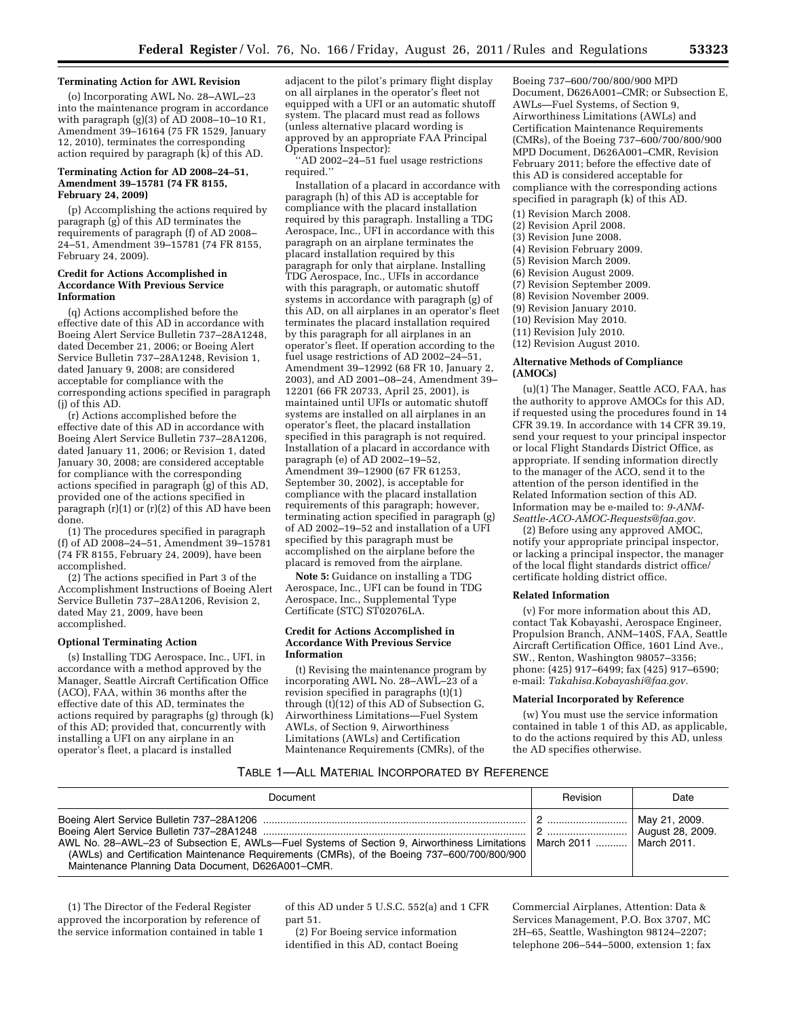# **Terminating Action for AWL Revision**

(o) Incorporating AWL No. 28–AWL–23 into the maintenance program in accordance with paragraph (g)(3) of AD 2008-10-10 R1, Amendment 39–16164 (75 FR 1529, January 12, 2010), terminates the corresponding action required by paragraph (k) of this AD.

### **Terminating Action for AD 2008–24–51, Amendment 39–15781 (74 FR 8155, February 24, 2009)**

(p) Accomplishing the actions required by paragraph (g) of this AD terminates the requirements of paragraph (f) of AD 2008– 24–51, Amendment 39–15781 (74 FR 8155, February 24, 2009).

### **Credit for Actions Accomplished in Accordance With Previous Service Information**

(q) Actions accomplished before the effective date of this AD in accordance with Boeing Alert Service Bulletin 737–28A1248, dated December 21, 2006; or Boeing Alert Service Bulletin 737–28A1248, Revision 1, dated January 9, 2008; are considered acceptable for compliance with the corresponding actions specified in paragraph (j) of this AD.

(r) Actions accomplished before the effective date of this AD in accordance with Boeing Alert Service Bulletin 737–28A1206, dated January 11, 2006; or Revision 1, dated January 30, 2008; are considered acceptable for compliance with the corresponding actions specified in paragraph (g) of this AD, provided one of the actions specified in paragraph  $(r)(1)$  or  $(r)(2)$  of this AD have been done.

(1) The procedures specified in paragraph (f) of AD 2008–24–51, Amendment 39–15781 (74 FR 8155, February 24, 2009), have been accomplished.

(2) The actions specified in Part 3 of the Accomplishment Instructions of Boeing Alert Service Bulletin 737–28A1206, Revision 2, dated May 21, 2009, have been accomplished.

### **Optional Terminating Action**

(s) Installing TDG Aerospace, Inc., UFI, in accordance with a method approved by the Manager, Seattle Aircraft Certification Office (ACO), FAA, within 36 months after the effective date of this AD, terminates the actions required by paragraphs (g) through (k) of this AD; provided that, concurrently with installing a UFI on any airplane in an operator's fleet, a placard is installed

adjacent to the pilot's primary flight display on all airplanes in the operator's fleet not equipped with a UFI or an automatic shutoff system. The placard must read as follows (unless alternative placard wording is approved by an appropriate FAA Principal Operations Inspector):

''AD 2002–24–51 fuel usage restrictions required.''

Installation of a placard in accordance with paragraph (h) of this AD is acceptable for compliance with the placard installation required by this paragraph. Installing a TDG Aerospace, Inc., UFI in accordance with this paragraph on an airplane terminates the placard installation required by this paragraph for only that airplane. Installing TDG Aerospace, Inc., UFIs in accordance with this paragraph, or automatic shutoff systems in accordance with paragraph (g) of this AD, on all airplanes in an operator's fleet terminates the placard installation required by this paragraph for all airplanes in an operator's fleet. If operation according to the fuel usage restrictions of AD 2002–24–51, Amendment 39–12992 (68 FR 10, January 2, 2003), and AD 2001–08–24, Amendment 39– 12201 (66 FR 20733, April 25, 2001), is maintained until UFIs or automatic shutoff systems are installed on all airplanes in an operator's fleet, the placard installation specified in this paragraph is not required. Installation of a placard in accordance with paragraph (e) of AD 2002–19–52, Amendment 39–12900 (67 FR 61253, September 30, 2002), is acceptable for compliance with the placard installation requirements of this paragraph; however, terminating action specified in paragraph (g) of AD 2002–19–52 and installation of a UFI specified by this paragraph must be accomplished on the airplane before the placard is removed from the airplane.

**Note 5:** Guidance on installing a TDG Aerospace, Inc., UFI can be found in TDG Aerospace, Inc., Supplemental Type Certificate (STC) ST02076LA.

### **Credit for Actions Accomplished in Accordance With Previous Service Information**

(t) Revising the maintenance program by incorporating AWL No. 28–AWL–23 of a revision specified in paragraphs (t)(1) through (t)(12) of this AD of Subsection G, Airworthiness Limitations—Fuel System AWLs, of Section 9, Airworthiness Limitations (AWLs) and Certification Maintenance Requirements (CMRs), of the

Boeing 737–600/700/800/900 MPD Document, D626A001–CMR; or Subsection E, AWLs—Fuel Systems, of Section 9, Airworthiness Limitations (AWLs) and Certification Maintenance Requirements (CMRs), of the Boeing 737–600/700/800/900 MPD Document, D626A001–CMR, Revision February 2011; before the effective date of this AD is considered acceptable for compliance with the corresponding actions specified in paragraph (k) of this AD.

- (1) Revision March 2008.
- (2) Revision April 2008.
- (3) Revision June 2008.
- (4) Revision February 2009.
	- (5) Revision March 2009.
	- (6) Revision August 2009.
- (7) Revision September 2009.
- (8) Revision November 2009.
- (9) Revision January 2010.
- (10) Revision May 2010.
- (11) Revision July 2010.
- (12) Revision August 2010.

### **Alternative Methods of Compliance (AMOCs)**

(u)(1) The Manager, Seattle ACO, FAA, has the authority to approve AMOCs for this AD, if requested using the procedures found in 14 CFR 39.19. In accordance with 14 CFR 39.19, send your request to your principal inspector or local Flight Standards District Office, as appropriate. If sending information directly to the manager of the ACO, send it to the attention of the person identified in the Related Information section of this AD. Information may be e-mailed to: *[9-ANM-](mailto:9-ANM-Seattle-ACO-AMOC-Requests@faa.gov)[Seattle-ACO-AMOC-Requests@faa.gov.](mailto:9-ANM-Seattle-ACO-AMOC-Requests@faa.gov)* 

(2) Before using any approved AMOC, notify your appropriate principal inspector, or lacking a principal inspector, the manager of the local flight standards district office/ certificate holding district office.

#### **Related Information**

(v) For more information about this AD, contact Tak Kobayashi, Aerospace Engineer, Propulsion Branch, ANM–140S, FAA, Seattle Aircraft Certification Office, 1601 Lind Ave., SW., Renton, Washington 98057–3356; phone: (425) 917–6499; fax (425) 917–6590; e-mail: *[Takahisa.Kobayashi@faa.gov.](mailto:Takahisa.Kobayashi@faa.gov)* 

# **Material Incorporated by Reference**

(w) You must use the service information contained in table 1 of this AD, as applicable, to do the actions required by this AD, unless the AD specifies otherwise.

### TABLE 1—ALL MATERIAL INCORPORATED BY REFERENCE

| Document                                                                                                                                                                                                                                                                     | Revision | Date                              |
|------------------------------------------------------------------------------------------------------------------------------------------------------------------------------------------------------------------------------------------------------------------------------|----------|-----------------------------------|
| AWL No. 28-AWL-23 of Subsection E, AWLs-Fuel Systems of Section 9, Airworthiness Limitations   March 2011    March 2011.<br>(AWLs) and Certification Maintenance Requirements (CMRs), of the Boeing 737-600/700/800/900<br>Maintenance Planning Data Document, D626A001-CMR. |          | May 21, 2009.<br>August 28, 2009. |

(1) The Director of the Federal Register approved the incorporation by reference of the service information contained in table 1

of this AD under 5 U.S.C. 552(a) and 1 CFR part 51.

(2) For Boeing service information identified in this AD, contact Boeing Commercial Airplanes, Attention: Data & Services Management, P.O. Box 3707, MC 2H–65, Seattle, Washington 98124–2207; telephone 206–544–5000, extension 1; fax